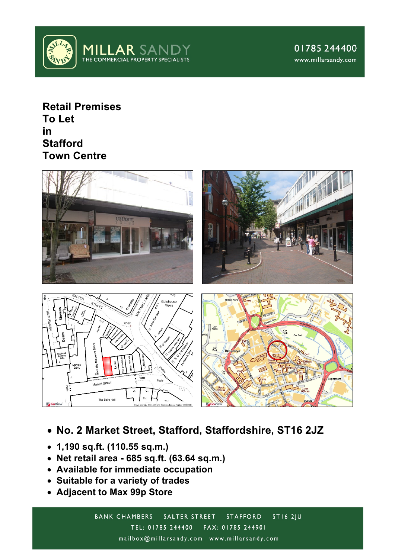

**Retail Premises To Let in Stafford Town Centre**



- **No. 2 Market Street, Stafford, Staffordshire, ST16 2JZ**
- **1,190 sq.ft. (110.55 sq.m.)**
- **Net retail area - 685 sq.ft. (63.64 sq.m.)**
- **Available for immediate occupation**
- **Suitable for a variety of trades**
- **Adjacent to Max 99p Store**

**BANK CHAMBERS**  $STI62JU$ SALTER STREET STAFFORD TEL: 01785 244400 FAX: 01785 244901 mailbox@millarsandy.com www.millarsandy.com